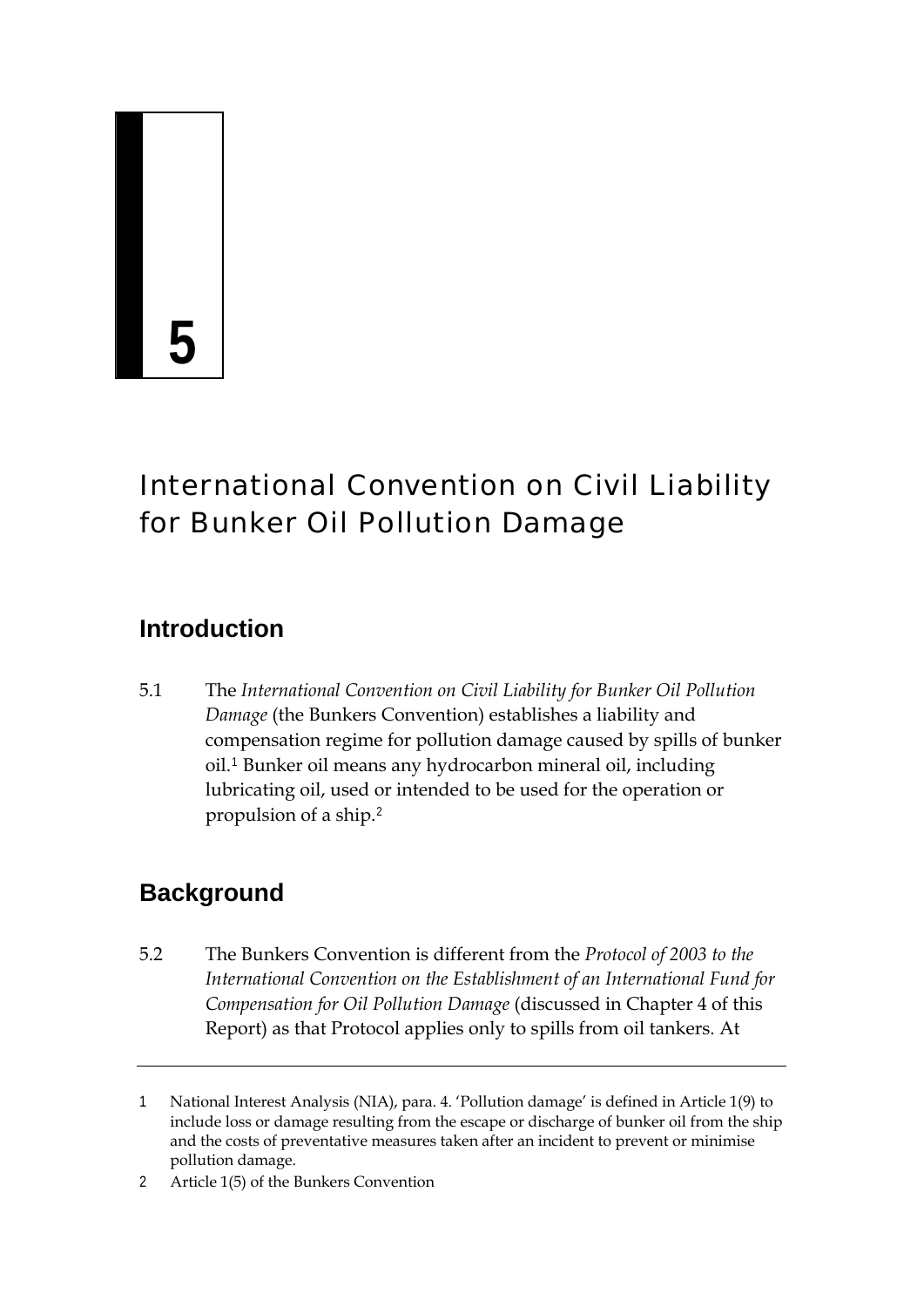# **5**

# International Convention on Civil Liability for Bunker Oil Pollution Damage

## **Introduction**

5.1 The *International Convention on Civil Liability for Bunker Oil Pollution Damage* (the Bunkers Convention) establishes a liability and compensation regime for pollution damage caused by spills of bunker oil.[1](#page-0-0) Bunker oil means any hydrocarbon mineral oil, including lubricating oil, used or intended to be used for the operation or propulsion of a ship.[2](#page-0-1)

# **Background**

5.2 The Bunkers Convention is different from the *Protocol of 2003 to the International Convention on the Establishment of an International Fund for Compensation for Oil Pollution Damage* (discussed in Chapter 4 of this Report) as that Protocol applies only to spills from oil tankers. At

<span id="page-0-0"></span><sup>1</sup> National Interest Analysis (NIA), para. 4. 'Pollution damage' is defined in Article 1(9) to include loss or damage resulting from the escape or discharge of bunker oil from the ship and the costs of preventative measures taken after an incident to prevent or minimise pollution damage.

<span id="page-0-1"></span><sup>2</sup> Article 1(5) of the Bunkers Convention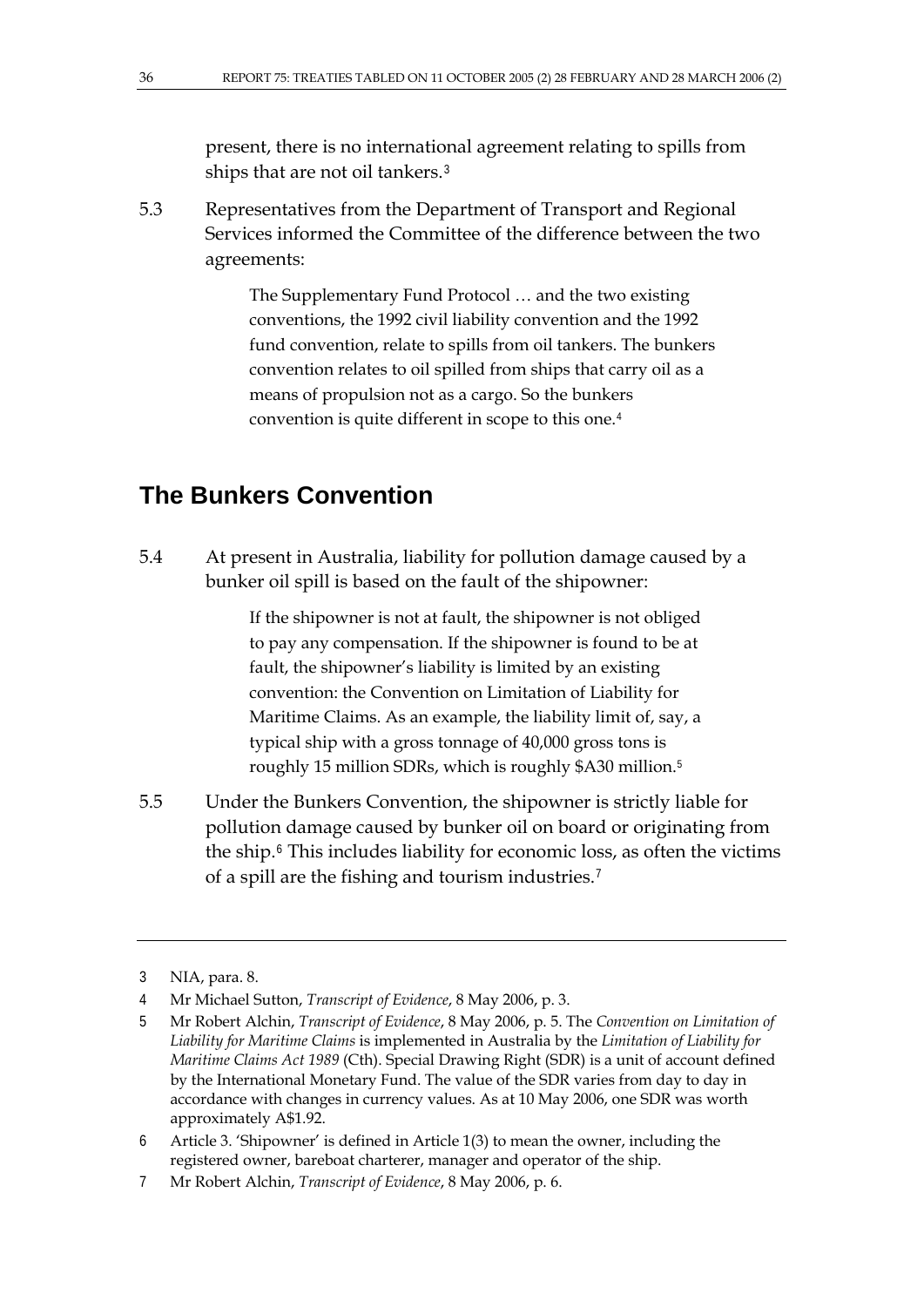present, there is no international agreement relating to spills from ships that are not oil tankers.[3](#page-1-0)

5.3 Representatives from the Department of Transport and Regional Services informed the Committee of the difference between the two agreements:

> The Supplementary Fund Protocol … and the two existing conventions, the 1992 civil liability convention and the 1992 fund convention, relate to spills from oil tankers. The bunkers convention relates to oil spilled from ships that carry oil as a means of propulsion not as a cargo. So the bunkers convention is quite different in scope to this one.<sup>[4](#page-1-1)</sup>

#### **The Bunkers Convention**

5.4 At present in Australia, liability for pollution damage caused by a bunker oil spill is based on the fault of the shipowner:

> If the shipowner is not at fault, the shipowner is not obliged to pay any compensation. If the shipowner is found to be at fault, the shipowner's liability is limited by an existing convention: the Convention on Limitation of Liability for Maritime Claims. As an example, the liability limit of, say, a typical ship with a gross tonnage of 40,000 gross tons is roughly 15 million SDRs, which is roughly \$A30 million.[5](#page-1-2)

5.5 Under the Bunkers Convention, the shipowner is strictly liable for pollution damage caused by bunker oil on board or originating from the ship.[6](#page-1-3) This includes liability for economic loss, as often the victims of a spill are the fishing and tourism industries.[7](#page-1-4)

<span id="page-1-0"></span><sup>3</sup> NIA, para. 8.

<span id="page-1-1"></span><sup>4</sup> Mr Michael Sutton, *Transcript of Evidence*, 8 May 2006, p. 3.

<span id="page-1-2"></span><sup>5</sup> Mr Robert Alchin, *Transcript of Evidence*, 8 May 2006, p. 5. The *Convention on Limitation of Liability for Maritime Claims* is implemented in Australia by the *Limitation of Liability for Maritime Claims Act 1989* (Cth). Special Drawing Right (SDR) is a unit of account defined by the International Monetary Fund. The value of the SDR varies from day to day in accordance with changes in currency values. As at 10 May 2006, one SDR was worth approximately A\$1.92.

<span id="page-1-3"></span><sup>6</sup> Article 3. 'Shipowner' is defined in Article 1(3) to mean the owner, including the registered owner, bareboat charterer, manager and operator of the ship.

<span id="page-1-4"></span><sup>7</sup> Mr Robert Alchin, *Transcript of Evidence*, 8 May 2006, p. 6.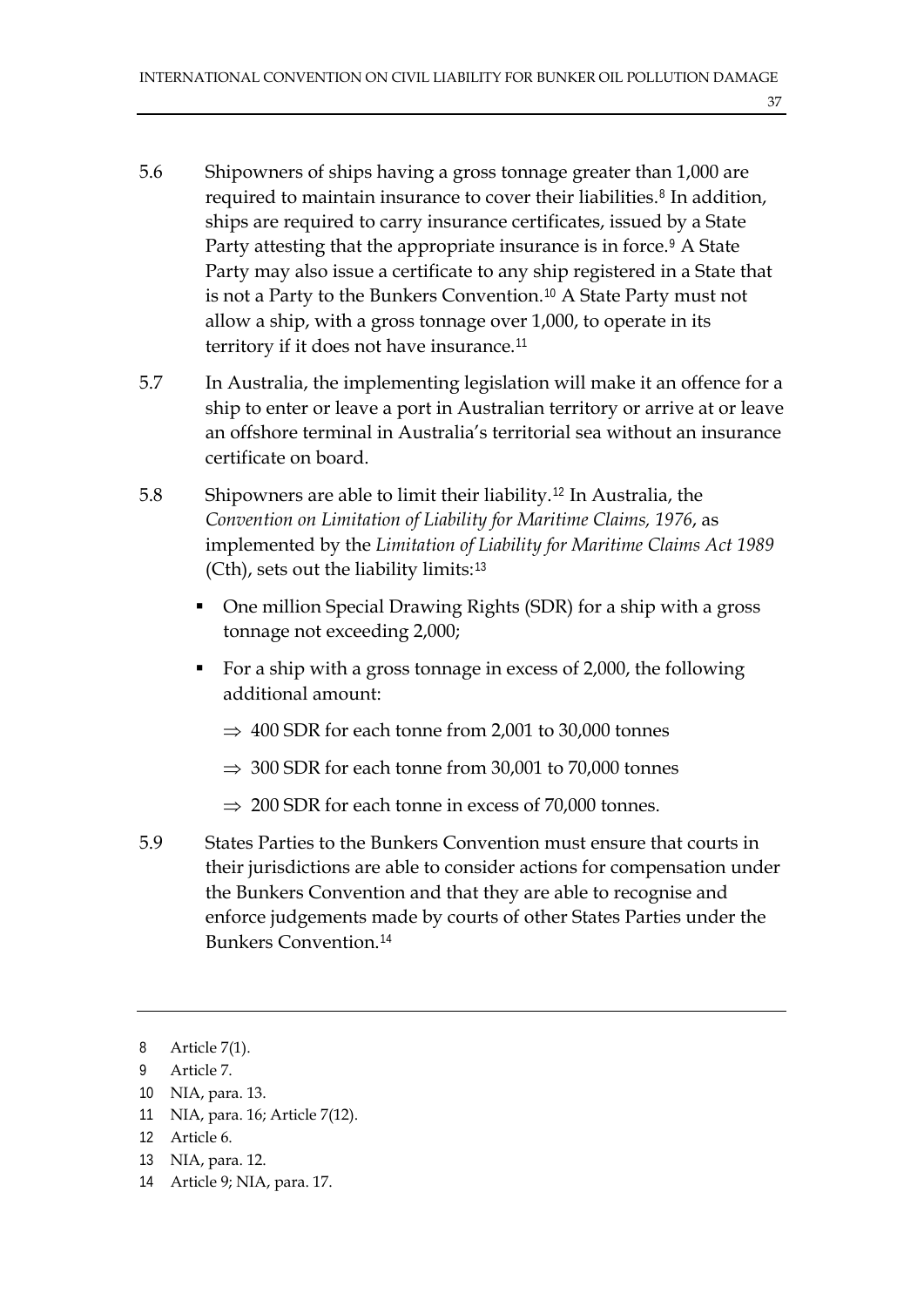- 5.6 Shipowners of ships having a gross tonnage greater than 1,000 are required to maintain insurance to cover their liabilities.<sup>[8](#page-2-0)</sup> In addition, ships are required to carry insurance certificates, issued by a State Party attesting that the appropriate insurance is in force.<sup>[9](#page-2-1)</sup> A State Party may also issue a certificate to any ship registered in a State that is not a Party to the Bunkers Convention.[10](#page-2-2) A State Party must not allow a ship, with a gross tonnage over 1,000, to operate in its territory if it does not have insurance.[11](#page-2-3)
- 5.7 In Australia, the implementing legislation will make it an offence for a ship to enter or leave a port in Australian territory or arrive at or leave an offshore terminal in Australia's territorial sea without an insurance certificate on board.
- 5.8 Shipowners are able to limit their liability.[12](#page-2-4) In Australia, the *Convention on Limitation of Liability for Maritime Claims, 1976*, as implemented by the *Limitation of Liability for Maritime Claims Act 1989* (Cth), sets out the liability limits:[13](#page-2-5)
	- One million Special Drawing Rights (SDR) for a ship with a gross tonnage not exceeding 2,000;
	- For a ship with a gross tonnage in excess of 2,000, the following additional amount:
		- ⇒ 400 SDR for each tonne from 2,001 to 30,000 tonnes
		- $\Rightarrow$  300 SDR for each tonne from 30,001 to 70,000 tonnes
		- $\Rightarrow$  200 SDR for each tonne in excess of 70,000 tonnes.
- 5.9 States Parties to the Bunkers Convention must ensure that courts in their jurisdictions are able to consider actions for compensation under the Bunkers Convention and that they are able to recognise and enforce judgements made by courts of other States Parties under the Bunkers Convention.[14](#page-2-6)

- <span id="page-2-2"></span>10 NIA, para. 13.
- <span id="page-2-3"></span>11 NIA, para. 16; Article 7(12).
- <span id="page-2-4"></span>12 Article 6.
- <span id="page-2-5"></span>13 NIA, para. 12.
- <span id="page-2-6"></span>14 Article 9; NIA, para. 17.

<span id="page-2-0"></span><sup>8</sup> Article 7(1).

<span id="page-2-1"></span><sup>9</sup> Article 7.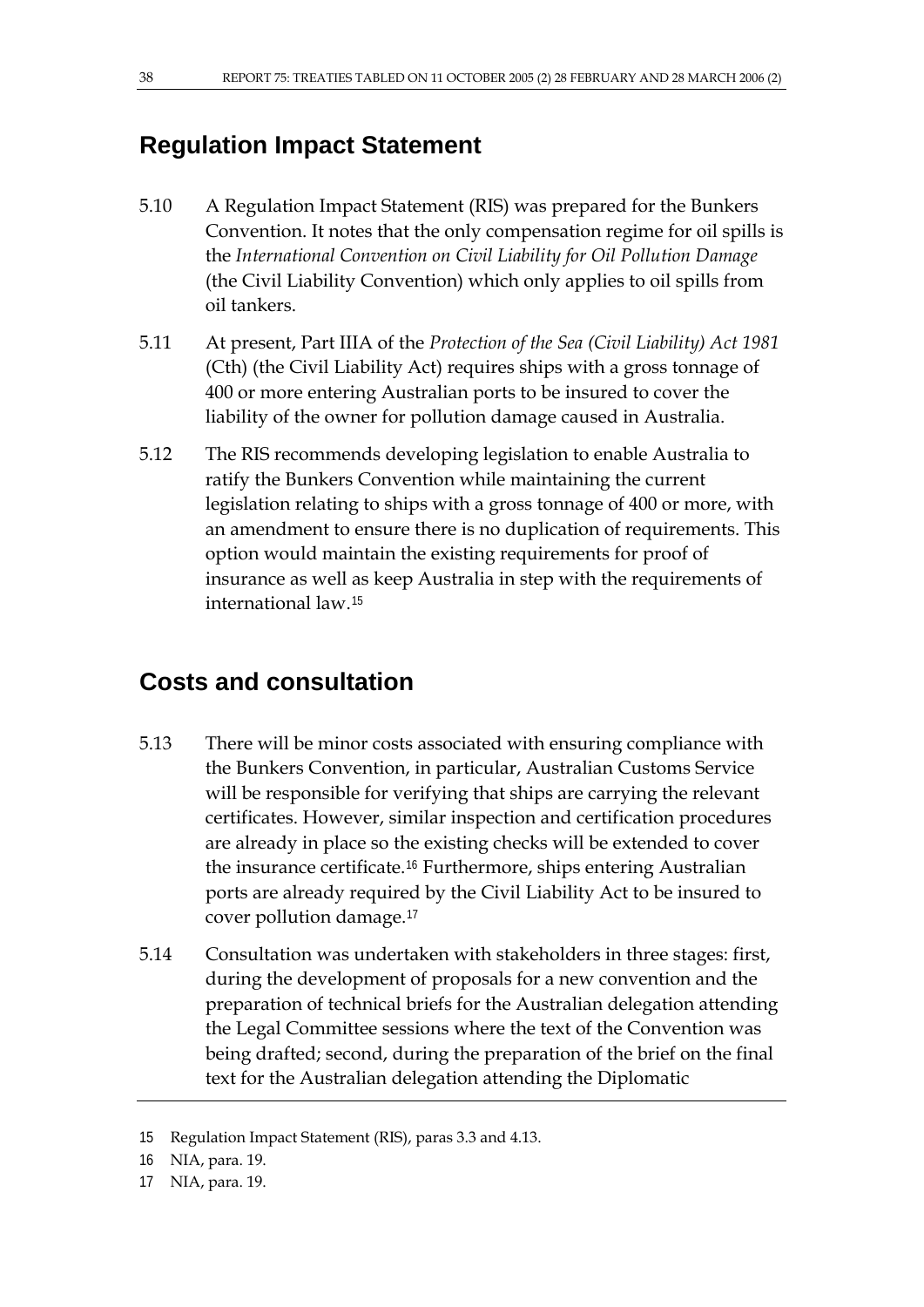#### **Regulation Impact Statement**

- 5.10 A Regulation Impact Statement (RIS) was prepared for the Bunkers Convention. It notes that the only compensation regime for oil spills is the *International Convention on Civil Liability for Oil Pollution Damage* (the Civil Liability Convention) which only applies to oil spills from oil tankers.
- 5.11 At present, Part IIIA of the *Protection of the Sea (Civil Liability) Act 1981*  (Cth) (the Civil Liability Act) requires ships with a gross tonnage of 400 or more entering Australian ports to be insured to cover the liability of the owner for pollution damage caused in Australia.
- 5.12 The RIS recommends developing legislation to enable Australia to ratify the Bunkers Convention while maintaining the current legislation relating to ships with a gross tonnage of 400 or more, with an amendment to ensure there is no duplication of requirements. This option would maintain the existing requirements for proof of insurance as well as keep Australia in step with the requirements of international law.[15](#page-3-0)

#### **Costs and consultation**

- 5.13 There will be minor costs associated with ensuring compliance with the Bunkers Convention, in particular, Australian Customs Service will be responsible for verifying that ships are carrying the relevant certificates. However, similar inspection and certification procedures are already in place so the existing checks will be extended to cover the insurance certificate.[16](#page-3-1) Furthermore, ships entering Australian ports are already required by the Civil Liability Act to be insured to cover pollution damage.[17](#page-3-2)
- 5.14 Consultation was undertaken with stakeholders in three stages: first, during the development of proposals for a new convention and the preparation of technical briefs for the Australian delegation attending the Legal Committee sessions where the text of the Convention was being drafted; second, during the preparation of the brief on the final text for the Australian delegation attending the Diplomatic

<span id="page-3-0"></span><sup>15</sup> Regulation Impact Statement (RIS), paras 3.3 and 4.13.

<span id="page-3-1"></span><sup>16</sup> NIA, para. 19.

<span id="page-3-2"></span><sup>17</sup> NIA, para. 19.